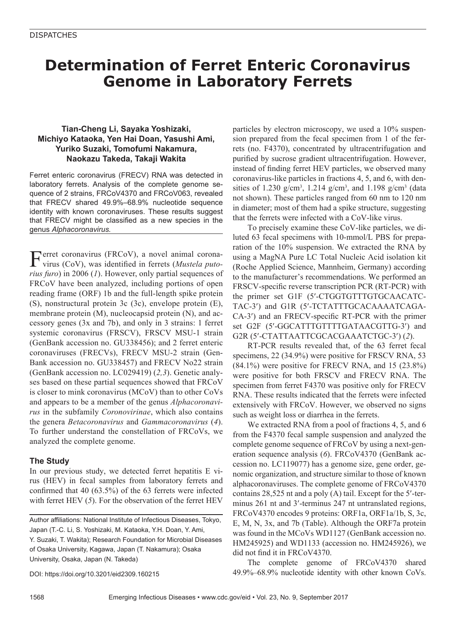# **Determination of Ferret Enteric Coronavirus Genome in Laboratory Ferrets**

## **Tian-Cheng Li, Sayaka Yoshizaki, Michiyo Kataoka, Yen Hai Doan, Yasushi Ami, Yuriko Suzaki, Tomofumi Nakamura, Naokazu Takeda, Takaji Wakita**

Ferret enteric coronavirus (FRECV) RNA was detected in laboratory ferrets. Analysis of the complete genome sequence of 2 strains, FRCoV4370 and FRCoV063, revealed that FRECV shared 49.9%–68.9% nucleotide sequence identity with known coronaviruses. These results suggest that FRECV might be classified as a new species in the genus *Alphacoronavirus.*

Ferret coronavirus (FRCoV), a novel animal coronavirus (CoV), was identified in ferrets (*Mustela putorius furo*) in 2006 (*1*). However, only partial sequences of FRCoV have been analyzed, including portions of open reading frame (ORF) 1b and the full-length spike protein (S), nonstructural protein 3c (3c), envelope protein (E), membrane protein (M), nucleocapsid protein (N), and accessory genes (3x and 7b), and only in 3 strains: 1 ferret systemic coronavirus (FRSCV), FRSCV MSU-1 strain (GenBank accession no. GU338456); and 2 ferret enteric coronaviruses (FRECVs), FRECV MSU-2 strain (Gen-Bank accession no. GU338457) and FRECV No22 strain (GenBank accession no. LC029419) (*2,3*). Genetic analyses based on these partial sequences showed that FRCoV is closer to mink coronavirus (MCoV) than to other CoVs and appears to be a member of the genus *Alphacoronavirus* in the subfamily *Coronovirinae*, which also contains the genera *Betacoronavirus* and *Gammacoronavirus* (*4*). To further understand the constellation of FRCoVs, we analyzed the complete genome.

## **The Study**

In our previous study, we detected ferret hepatitis E virus (HEV) in fecal samples from laboratory ferrets and confirmed that 40 (63.5%) of the 63 ferrets were infected with ferret HEV (*5*). For the observation of the ferret HEV

Author affiliations: National Institute of Infectious Diseases, Tokyo, Japan (T.-C. Li, S. Yoshizaki, M. Kataoka, Y.H. Doan, Y. Ami, Y. Suzaki, T. Wakita); Research Foundation for Microbial Diseases of Osaka University, Kagawa, Japan (T. Nakamura); Osaka University, Osaka, Japan (N. Takeda)

DOI: https://doi.org/10.3201/eid2309.160215

particles by electron microscopy, we used a 10% suspension prepared from the fecal specimen from 1 of the ferrets (no. F4370), concentrated by ultracentrifugation and purified by sucrose gradient ultracentrifugation. However, instead of finding ferret HEV particles, we observed many coronavirus-like particles in fractions 4, 5, and 6, with densities of 1.230 g/cm<sup>3</sup>, 1.214 g/cm<sup>3</sup>, and 1.198 g/cm<sup>3</sup> (data not shown). These particles ranged from 60 nm to 120 nm in diameter; most of them had a spike structure, suggesting that the ferrets were infected with a CoV-like virus.

To precisely examine these CoV-like particles, we diluted 63 fecal specimens with 10-mmol/L PBS for preparation of the 10% suspension. We extracted the RNA by using a MagNA Pure LC Total Nucleic Acid isolation kit (Roche Applied Science, Mannheim, Germany) according to the manufacturer's recommendations. We performed an FRSCV-specific reverse transcription PCR (RT-PCR) with the primer set G1F (5′-CTGGTGTTTGTGCAACATC-TAC-3′) and G1R (5′-TCTATTTGCACAAAATCAGA-CA-3′) and an FRECV-specific RT-PCR with the primer set G2F (5′-GGCATTTGTTTTGATAACGTTG-3′) and G2R (5′-CTATTAATTCGCACGAAATCTGC-3′) (*2*).

RT-PCR results revealed that, of the 63 ferret fecal specimens, 22 (34.9%) were positive for FRSCV RNA, 53 (84.1%) were positive for FRECV RNA, and 15 (23.8%) were positive for both FRSCV and FRECV RNA. The specimen from ferret F4370 was positive only for FRECV RNA. These results indicated that the ferrets were infected extensively with FRCoV. However, we observed no signs such as weight loss or diarrhea in the ferrets.

We extracted RNA from a pool of fractions 4, 5, and 6 from the F4370 fecal sample suspension and analyzed the complete genome sequence of FRCoV by using a next-generation sequence analysis (*6*). FRCoV4370 (GenBank accession no. LC119077) has a genome size, gene order, genomic organization, and structure similar to those of known alphacoronaviruses. The complete genome of FRCoV4370 contains 28,525 nt and a poly (A) tail. Except for the 5′-terminus 261 nt and 3′-terminus 247 nt untranslated regions, FRCoV4370 encodes 9 proteins: ORF1a, ORF1a/1b, S, 3c, E, M, N, 3x, and 7b (Table). Although the ORF7a protein was found in the MCoVs WD1127 (GenBank accession no. HM245925) and WD1133 (accession no. HM245926), we did not find it in FRCoV4370.

The complete genome of FRCoV4370 shared 49.9%–68.9% nucleotide identity with other known CoVs.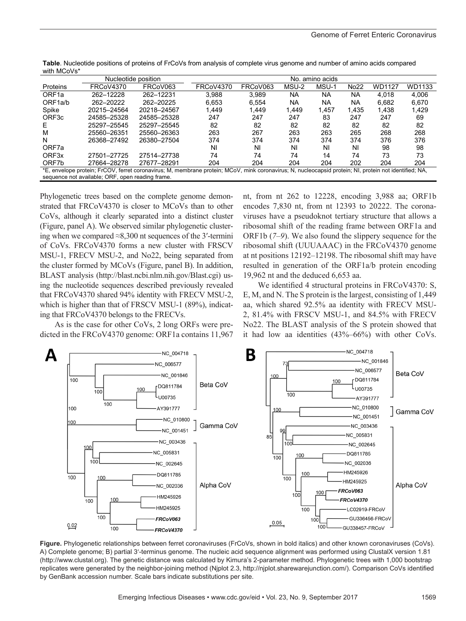|                                                                                                                                                        | Nucleotide position |             | amino acids<br>No. |          |           |           |             |        |        |
|--------------------------------------------------------------------------------------------------------------------------------------------------------|---------------------|-------------|--------------------|----------|-----------|-----------|-------------|--------|--------|
| Proteins                                                                                                                                               | FRCoV4370           | FRCoV063    | FRCoV4370          | FRCoV063 | MSU-2     | MSU-1     | <b>No22</b> | WD1127 | WD1133 |
| ORF <sub>1a</sub>                                                                                                                                      | 262-12228           | 262-12231   | 3.988              | 3.989    | <b>NA</b> | <b>NA</b> | <b>NA</b>   | 4.018  | 4.006  |
| ORF1a/b                                                                                                                                                | 262-20222           | 262-20225   | 6,653              | 6,554    | <b>NA</b> | NA        | <b>NA</b>   | 6,682  | 6,670  |
| Spike                                                                                                                                                  | 20215-24564         | 20218-24567 | .449               | 1.449    | 1.449     | 1.457     | 1.435       | 1.438  | 1.429  |
| ORF <sub>3c</sub>                                                                                                                                      | 24585-25328         | 24585-25328 | 247                | 247      | 247       | 83        | 247         | 247    | 69     |
| Е                                                                                                                                                      | 25297-25545         | 25297-25545 | 82                 | 82       | 82        | 82        | 82          | 82     | 82     |
| M                                                                                                                                                      | 25560-26351         | 25560-26363 | 263                | 267      | 263       | 263       | 265         | 268    | 268    |
| N                                                                                                                                                      | 26368-27492         | 26380-27504 | 374                | 374      | 374       | 374       | 374         | 376    | 376    |
| ORF7a                                                                                                                                                  |                     |             | NI                 | ΝI       | ΝI        | ΝI        | ΝI          | 98     | 98     |
| ORF <sub>3x</sub>                                                                                                                                      | 27501-27725         | 27514-27738 | 74                 | 74       | 74        | 14        | 74          | 73     | 73     |
| ORF7b                                                                                                                                                  | 27664-28278         | 27677-28291 | 204                | 204      | 204       | 204       | 202         | 204    | 204    |
| *E, envelope protein; FrCOV, ferret coronavirus; M, membrane protein; MCoV, mink coronavirus; N, nucleocapsid protein; NI, protein not identified; NA, |                     |             |                    |          |           |           |             |        |        |
| sequence not available; ORF, open reading frame.                                                                                                       |                     |             |                    |          |           |           |             |        |        |

**Table**. Nucleotide positions of proteins of FrCoVs from analysis of complete virus genome and number of amino acids compared with MCoVs\*

Phylogenetic trees based on the complete genome demonstrated that FRCoV4370 is closer to MCoVs than to other CoVs, although it clearly separated into a distinct cluster (Figure, panel A). We observed similar phylogenetic clustering when we compared  $\approx 8,300$  nt sequences of the 3'-termini of CoVs. FRCoV4370 forms a new cluster with FRSCV MSU-1, FRECV MSU-2, and No22, being separated from the cluster formed by MCoVs (Figure, panel B). In addition, BLAST analysis (http://blast.ncbi.nlm.nih.gov/Blast.cgi) using the nucleotide sequences described previously revealed that FRCoV4370 shared 94% identity with FRECV MSU-2, which is higher than that of FRSCV MSU-1 (89%), indicating that FRCoV4370 belongs to the FRECVs.

As is the case for other CoVs, 2 long ORFs were predicted in the FRCoV4370 genome: ORF1a contains 11,967 nt, from nt 262 to 12228, encoding 3,988 aa; ORF1b encodes 7,830 nt, from nt 12393 to 20222. The coronaviruses have a pseudoknot tertiary structure that allows a ribosomal shift of the reading frame between ORF1a and ORF1b (*7–9*). We also found the slippery sequence for the ribosomal shift (UUUAAAC) in the FRCoV4370 genome at nt positions 12192–12198. The ribosomal shift may have resulted in generation of the ORF1a/b protein encoding 19,962 nt and the deduced 6,653 aa.

We identified 4 structural proteins in FRCoV4370: S, E, M, and N. The S protein is the largest, consisting of 1,449 aa, which shared 92.5% aa identity with FRECV MSU-2, 81.4% with FRSCV MSU-1, and 84.5% with FRECV No22. The BLAST analysis of the S protein showed that it had low aa identities (43%–66%) with other CoVs.



**Figure.** Phylogenetic relationships between ferret coronaviruses (FrCoVs, shown in bold italics) and other known coronaviruses (CoVs). A) Complete genome; B) partial 3′-terminus genome. The nucleic acid sequence alignment was performed using ClustalX version 1.81 (http://www.clustal.org). The genetic distance was calculated by Kimura's 2-parameter method. Phylogenetic trees with 1,000 bootstrap replicates were generated by the neighbor-joining method (Njplot 2.3, http://njplot.sharewarejunction.com/). Comparison CoVs identified by GenBank accession number. Scale bars indicate substitutions per site.